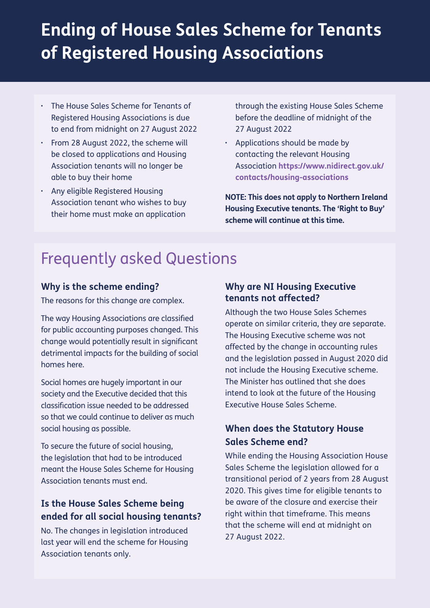# **Ending of House Sales Scheme for Tenants of Registered Housing Associations**

- The House Sales Scheme for Tenants of Registered Housing Associations is due to end from midnight on 27 August 2022
- From 28 August 2022, the scheme will be closed to applications and Housing Association tenants will no longer be able to buy their home
- Any eligible Registered Housing Association tenant who wishes to buy their home must make an application

 through the existing House Sales Scheme before the deadline of midnight of the 27 August 2022

• Applications should be made by contacting the relevant Housing Association **[https://www.nidirect.gov.uk/](https://www.nidirect.gov.uk/contacts/housing-associations) [contacts/housing-associations](https://www.nidirect.gov.uk/contacts/housing-associations)**

**NOTE: This does not apply to Northern Ireland Housing Executive tenants. The 'Right to Buy' scheme will continue at this time.**

## Frequently asked Questions

#### **Why is the scheme ending?**

The reasons for this change are complex.

The way Housing Associations are classified for public accounting purposes changed. This change would potentially result in significant detrimental impacts for the building of social homes here.

Social homes are hugely important in our society and the Executive decided that this classification issue needed to be addressed so that we could continue to deliver as much social housing as possible.

To secure the future of social housing, the legislation that had to be introduced meant the House Sales Scheme for Housing Association tenants must end.

#### **Is the House Sales Scheme being ended for all social housing tenants?**

No. The changes in legislation introduced last year will end the scheme for Housing Association tenants only.

#### **Why are NI Housing Executive tenants not affected?**

Although the two House Sales Schemes operate on similar criteria, they are separate. The Housing Executive scheme was not affected by the change in accounting rules and the legislation passed in August 2020 did not include the Housing Executive scheme. The Minister has outlined that she does intend to look at the future of the Housing Executive House Sales Scheme.

#### **When does the Statutory House Sales Scheme end?**

While ending the Housing Association House Sales Scheme the legislation allowed for a transitional period of 2 years from 28 August 2020. This gives time for eligible tenants to be aware of the closure and exercise their right within that timeframe. This means that the scheme will end at midnight on 27 August 2022.